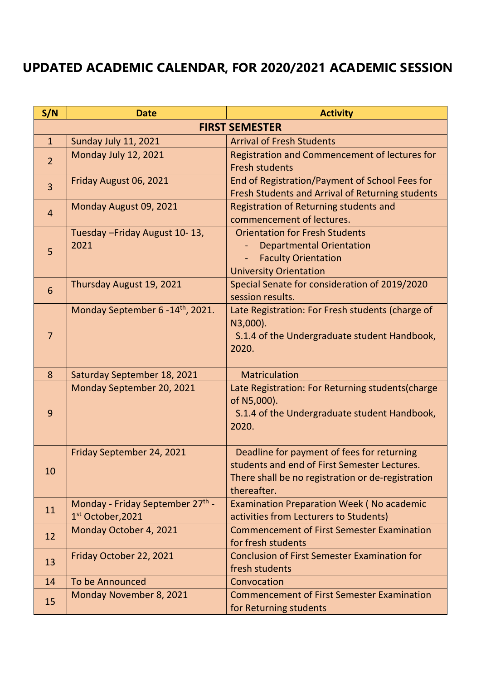## **UPDATED ACADEMIC CALENDAR, FOR 2020/2021 ACADEMIC SESSION**

| S/N                   | <b>Date</b>                                                       | <b>Activity</b>                                                                                                                                                |  |
|-----------------------|-------------------------------------------------------------------|----------------------------------------------------------------------------------------------------------------------------------------------------------------|--|
| <b>FIRST SEMESTER</b> |                                                                   |                                                                                                                                                                |  |
| $\mathbf{1}$          | Sunday July 11, 2021                                              | <b>Arrival of Fresh Students</b>                                                                                                                               |  |
| $\overline{2}$        | Monday July 12, 2021                                              | Registration and Commencement of lectures for<br><b>Fresh students</b>                                                                                         |  |
| $\overline{3}$        | Friday August 06, 2021                                            | End of Registration/Payment of School Fees for<br>Fresh Students and Arrival of Returning students                                                             |  |
| $\overline{4}$        | Monday August 09, 2021                                            | Registration of Returning students and<br>commencement of lectures.                                                                                            |  |
| 5                     | Tuesday - Friday August 10-13,<br>2021                            | <b>Orientation for Fresh Students</b><br><b>Departmental Orientation</b><br><b>Faculty Orientation</b><br><b>University Orientation</b>                        |  |
| 6                     | Thursday August 19, 2021                                          | Special Senate for consideration of 2019/2020<br>session results.                                                                                              |  |
| 7                     | Monday September 6 - 14 <sup>th</sup> , 2021.                     | Late Registration: For Fresh students (charge of<br>N3,000).<br>S.1.4 of the Undergraduate student Handbook,<br>2020.                                          |  |
| 8                     | Saturday September 18, 2021                                       | <b>Matriculation</b>                                                                                                                                           |  |
| 9                     | Monday September 20, 2021                                         | Late Registration: For Returning students(charge<br>of N5,000).<br>S.1.4 of the Undergraduate student Handbook,<br>2020.                                       |  |
| 10                    | Friday September 24, 2021                                         | Deadline for payment of fees for returning<br>students and end of First Semester Lectures.<br>There shall be no registration or de-registration<br>thereafter. |  |
| 11                    | Monday - Friday September 27th -<br>1 <sup>st</sup> October, 2021 | <b>Examination Preparation Week (No academic</b><br>activities from Lecturers to Students)                                                                     |  |
| 12                    | Monday October 4, 2021                                            | <b>Commencement of First Semester Examination</b><br>for fresh students                                                                                        |  |
| 13                    | Friday October 22, 2021                                           | <b>Conclusion of First Semester Examination for</b><br>fresh students                                                                                          |  |
| 14                    | To be Announced                                                   | Convocation                                                                                                                                                    |  |
| 15                    | Monday November 8, 2021                                           | <b>Commencement of First Semester Examination</b><br>for Returning students                                                                                    |  |